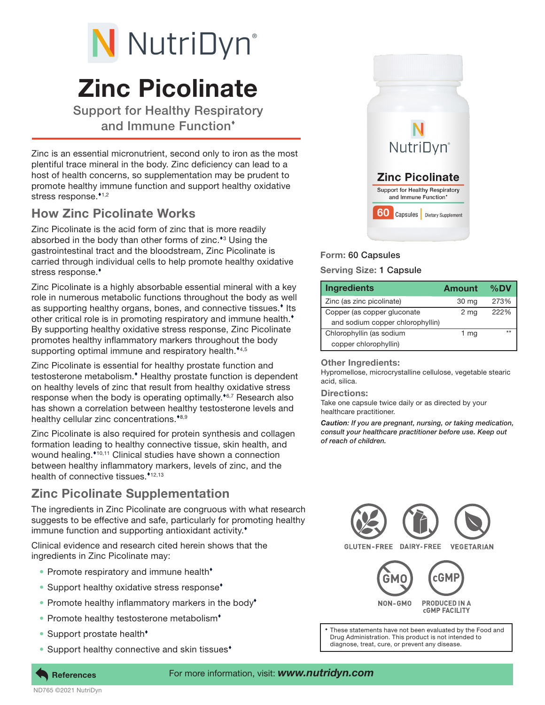# Zinc Picolinate N NutriDyn®

Support for Healthy Respiratory and Immune Function

Zinc is an essential micronutrient, second only to iron as the most plentiful trace mineral in the body. Zinc deficiency can lead to a host of health concerns, so supplementation may be prudent to promote healthy immune function and support healthy oxidative stress response.\*1,2

## How Zinc Picolinate Works

Zinc Picolinate is the acid form of zinc that is more readily absorbed in the body than other forms of zinc.<sup>\*3</sup> Using the gastrointestinal tract and the bloodstream, Zinc Picolinate is carried through individual cells to help promote healthy oxidative stress response.<sup>\*</sup>

Zinc Picolinate is a highly absorbable essential mineral with a key role in numerous metabolic functions throughout the body as well as supporting healthy organs, bones, and connective tissues.<sup>\*</sup> Its other critical role is in promoting respiratory and immune health. By supporting healthy oxidative stress response, Zinc Picolinate promotes healthy inflammatory markers throughout the body supporting optimal immune and respiratory health.<sup>\*4,5</sup>

Zinc Picolinate is essential for healthy prostate function and testosterone metabolism.<sup>\*</sup> Healthy prostate function is dependent on healthy levels of zinc that result from healthy oxidative stress response when the body is operating optimally.<sup> $\epsilon$ 6,7</sup> Research also has shown a correlation between healthy testosterone levels and healthy cellular zinc concentrations. $*_{8,9}$ 

Zinc Picolinate is also required for protein synthesis and collagen formation leading to healthy connective tissue, skin health, and wound healing.<sup>\*10,11</sup> Clinical studies have shown a connection between healthy inflammatory markers, levels of zinc, and the health of connective tissues.  $*12,13$ 

# Zinc Picolinate Supplementation

The ingredients in Zinc Picolinate are congruous with what research suggests to be effective and safe, particularly for promoting healthy immune function and supporting antioxidant activity.<sup>\*</sup>

Clinical evidence and research cited herein shows that the ingredients in Zinc Picolinate may:

- Promote respiratory and immune health<sup>\*</sup>
- Support healthy oxidative stress response<sup>\*</sup>
- Promote healthy inflammatory markers in the body<sup>\*</sup>
- Promote healthy testosterone metabolism<sup>+</sup>
- Support prostate health<sup>+</sup>
- Support healthy connective and skin tissues<sup>\*</sup>



## Form: 60 Capsules

### Serving Size: 1 Capsule

| <b>Ingredients</b>               | Amount | $\%$ DV |
|----------------------------------|--------|---------|
| Zinc (as zinc picolinate)        | 30 mg  | 273%    |
| Copper (as copper gluconate      | 2 mg   | 222%    |
| and sodium copper chlorophyllin) |        |         |
| Chlorophyllin (as sodium         | 1 mg   | $***$   |
| copper chlorophyllin)            |        |         |

#### Other Ingredients:

Hypromellose, microcrystalline cellulose, vegetable stearic acid, silica.

#### Directions:

Take one capsule twice daily or as directed by your healthcare practitioner.

*Caution: If you are pregnant, nursing, or taking medication, consult your healthcare practitioner before use. Keep out of reach of children.*



Drug Administration. This product is not intended to diagnose, treat, cure, or prevent any disease.